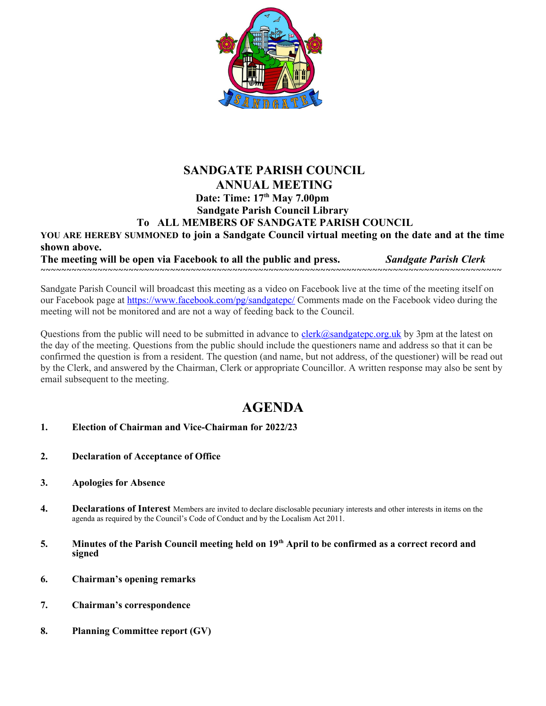

### **SANDGATE PARISH COUNCIL ANNUAL MEETING Date: Time: 17th May 7.00pm Sandgate Parish Council Library To ALL MEMBERS OF SANDGATE PARISH COUNCIL YOU ARE HEREBY SUMMONED to join a Sandgate Council virtual meeting on the date and at the time**

**shown above.** 

**The meeting will be open via Facebook to all the public and press.** *Sandgate Parish Clerk* ~~~~~~~~~~~~~~~~~~~~~~~~~~~~~~~~~~~~~~~~~~~~~~~~~~~~~~~~~~~~~~~~~~~~~~~~~~~~~~~~~~~~~~~~~

Sandgate Parish Council will broadcast this meeting as a video on Facebook live at the time of the meeting itself on our Facebook page at https://www.facebook.com/pg/sandgatepc/ Comments made on the Facebook video during the meeting will not be monitored and are not a way of feeding back to the Council.

Questions from the public will need to be submitted in advance to clerk@sandgatepc.org.uk by 3pm at the latest on the day of the meeting. Questions from the public should include the questioners name and address so that it can be confirmed the question is from a resident. The question (and name, but not address, of the questioner) will be read out by the Clerk, and answered by the Chairman, Clerk or appropriate Councillor. A written response may also be sent by email subsequent to the meeting.

# **AGENDA**

- **1. Election of Chairman and Vice-Chairman for 2022/23**
- **2. Declaration of Acceptance of Office**
- **3. Apologies for Absence**
- **4. Declarations of Interest** Members are invited to declare disclosable pecuniary interests and other interests in items on the agenda as required by the Council's Code of Conduct and by the Localism Act 2011.
- **5. Minutes of the Parish Council meeting held on 19th April to be confirmed as a correct record and signed**
- **6. Chairman's opening remarks**
- **7. Chairman's correspondence**
- **8. Planning Committee report (GV)**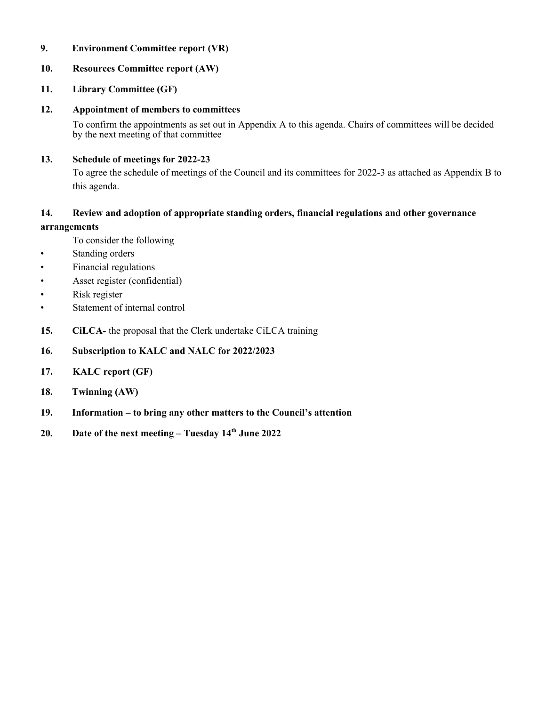### **9. Environment Committee report (VR)**

### **10. Resources Committee report (AW)**

### **11. Library Committee (GF)**

**12. Appointment of members to committees**

To confirm the appointments as set out in Appendix A to this agenda. Chairs of committees will be decided by the next meeting of that committee

### **13. Schedule of meetings for 2022-23**

To agree the schedule of meetings of the Council and its committees for 2022-3 as attached as Appendix B to this agenda.

### **14. Review and adoption of appropriate standing orders, financial regulations and other governance arrangements**

To consider the following

- Standing orders
- Financial regulations
- Asset register (confidential)
- Risk register
- Statement of internal control
- **15. CiLCA-** the proposal that the Clerk undertake CiLCA training

### **16. Subscription to KALC and NALC for 2022/2023**

- **17. KALC report (GF)**
- **18. Twinning (AW)**
- **19. Information to bring any other matters to the Council's attention**
- **20. Date of the next meeting Tuesday 14th June 2022**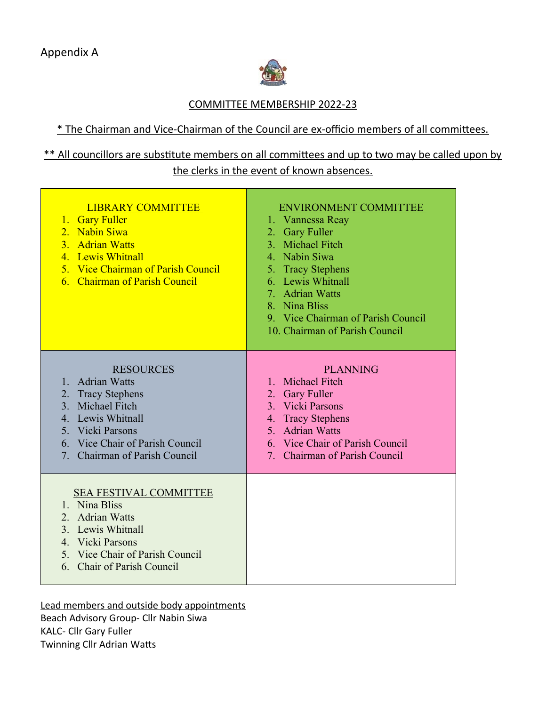

### COMMITTEE MEMBERSHIP 2022-23

### \* The Chairman and Vice-Chairman of the Council are ex-officio members of all committees.

## \*\* All councillors are substitute members on all committees and up to two may be called upon by the clerks in the event of known absences.

| <b>LIBRARY COMMITTEE</b><br>1. Gary Fuller<br>2. Nabin Siwa<br><b>Adrian Watts</b><br>3 <sub>1</sub><br>4. Lewis Whitnall<br>5. Vice Chairman of Parish Council<br>6. Chairman of Parish Council                                                           | <b>ENVIRONMENT COMMITTEE</b><br>1. Vannessa Reay<br>2. Gary Fuller<br>3. Michael Fitch<br>4. Nabin Siwa<br>5. Tracy Stephens<br>6. Lewis Whitnall<br>7. Adrian Watts<br>8. Nina Bliss<br>9. Vice Chairman of Parish Council<br>10. Chairman of Parish Council |
|------------------------------------------------------------------------------------------------------------------------------------------------------------------------------------------------------------------------------------------------------------|---------------------------------------------------------------------------------------------------------------------------------------------------------------------------------------------------------------------------------------------------------------|
| <b>RESOURCES</b><br><b>Adrian Watts</b><br>1.<br><b>Tracy Stephens</b><br>2.<br>Michael Fitch<br>3 <sub>1</sub><br>Lewis Whitnall<br>$\mathbf{4}_{\cdot}$<br>5. Vicki Parsons<br>Vice Chair of Parish Council<br>Chairman of Parish Council<br>$7^{\circ}$ | <b>PLANNING</b><br>1. Michael Fitch<br>2. Gary Fuller<br>3. Vicki Parsons<br>4. Tracy Stephens<br>5. Adrian Watts<br>6. Vice Chair of Parish Council<br>7. Chairman of Parish Council                                                                         |
| <b>SEA FESTIVAL COMMITTEE</b><br>1. Nina Bliss<br><b>Adrian Watts</b><br>$2^{+}$<br>3. Lewis Whitnall<br>4. Vicki Parsons<br>Vice Chair of Parish Council<br>5 <sub>1</sub><br>Chair of Parish Council<br>6.                                               |                                                                                                                                                                                                                                                               |

Lead members and outside body appointments Beach Advisory Group- Cllr Nabin Siwa KALC- Cllr Gary Fuller Twinning Cllr Adrian Watts